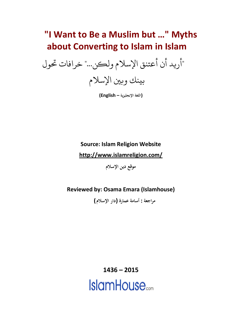# **"I Want to Be a Muslim but …" Myths about Converting to Islam in Islam**

"أريد أن أعتنق اإلسالم ولكن..." خرافات حتول



**(اللغة اإلنجليزية – English(**

**Source: Islam Religion Website**

**<http://www.islamreligion.com/>**

**موقع دين اإلسالم**

**Reviewed by: Osama Emara (Islamhouse)**

 **مراجعة : أسامة عمارة )دار اإلسالم(** 

**1436 – 2015 IslamHouse**<sub>com</sub>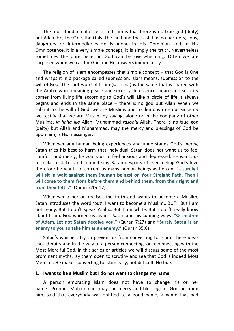The most fundamental belief in Islam is that there is no true god (deity) but Allah. He, the One, the Only, the First and the Last, has no partners, sons, daughters or intermediaries. He is Alone in His Dominion and in His Omnipotence. It is a very simple concept, it is simply the truth. Nevertheless sometimes the pure belief in God can be overwhelming. Often we are surprised when we call for God and He answers immediately.

The religion of Islam encompasses that simple concept – that God is One and wraps it in a package called submission. Islam means, submission to the will of God. The root word of Islam (sa-li-ma) is the same that is shared with the Arabic word meaning peace and security. In essence, peace and security comes from living life according to God's will. Like a circle of life it always begins and ends in the same place – there is no god but Allah. When we submit to the will of God, we are Muslims and to demonstrate our sincerity we testify that we are Muslim by saying, alone or in the company of other Muslims, *la ilaha illa* Allah, Muhammad *rasoolu* Allah. There is no true god (deity) but Allah and Muhammad, may the mercy and blessings of God be upon him, is His messenger.

Whenever any human being experiences and understands God's mercy, Satan tries his best to harm that individual. Satan does not want us to feel comfort and mercy; he wants us to feel anxious and depressed. He wants us to make mistakes and commit sins. Satan despairs of ever feeling God's love therefore he wants to corrupt as many human beings as he can: **"…surely I will sit in wait against them (human beings) on Your Straight Path. Then I will come to them from before them and behind them, from their right and from their left…"** (Quran 7:16-17)

Whenever a person realises the truth and wants to become a Muslim, Satan introduces the word 'but'. I want to become a Muslim...BUT! But I am not ready. But I don't speak Arabic. But I am white. But I don't really know about Islam. God warned us against Satan and his cunning ways: **"O children of Adam. Let not Satan deceive you."** (Quran 7:27) and **"Surely Satan is an enemy to you so take him as an enemy."** (Quran 35:6)

Satan's whispers try to prevent us from converting to Islam. These ideas should not stand in the way of a person connecting, or reconnecting with the Most Merciful God. In this series or articles we will discuss some of the most prominent myths, lay them open to scrutiny and see that God is indeed Most Merciful. He makes converting to Islam easy, not difficult. No buts!

## **1. I want to be a Muslim but I do not want to change my name.**

A person embracing Islam does not have to change his or her name. Prophet Muhammad, may the mercy and blessings of God be upon him, said that everybody was entitled to a good name, a name that had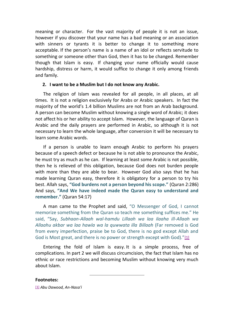meaning or character. For the vast majority of people it is not an issue, however if you discover that your name has a bad meaning or an association with sinners or tyrants it is better to change it to something more acceptable. If the person's name is a name of an idol or reflects servitude to something or someone other than God, then it has to be changed. Remember though that Islam is easy. If changing your name officially would cause hardship, distress or harm, it would suffice to change it only among friends and family.

## **2. I want to be a Muslim but I do not know any Arabic.**

The religion of Islam was revealed for all people, in all places, at all times. It is not a religion exclusively for Arabs or Arabic speakers. In fact the majority of the world's 1.4 billion Muslims are not from an Arab background. A person can become Muslim without knowing a single word of Arabic; it does not affect his or her ability to accept Islam. However, the language of Quran is Arabic and the daily prayers are performed in Arabic, so although it is not necessary to learn the whole language, after conversion it will be necessary to learn some Arabic words.

If a person is unable to learn enough Arabic to perform his prayers because of a speech defect or because he is not able to pronounce the Arabic, he must try as much as he can. If learning at least some Arabic is not possible, then he is relieved of this obligation, because God does not burden people with more than they are able to bear. However God also says that he has made learning Quran easy, therefore it is obligatory for a person to try his best. Allah says, **"God burdens not a person beyond his scope."** (Quran 2:286) And says, **"And We have indeed made the Quran easy to understand and remember."** (Quran 54:17)

A man came to the Prophet and said, "O Messenger of God, I cannot memorize something from the Quran so teach me something suffices me." He said, "Say, *Subhaan-Allaah wal-hamdu Lillaah wa laa ilaaha ill-Allaah wa Allaahu akbar wa laa hawla wa la quwwata illa Billaah* (Far removed is God from every imperfection, praise be to God, there is no god except Allah and God is Most great, and there is no power or strength except with God)."[\[1\]](http://www.islamreligion.com/articles/4360/#_ftn23331)

Entering the fold of Islam is easy. It is a simple process, free of complications. In part 2 we will discuss circumcision, the fact that Islam has no ethnic or race restrictions and becoming Muslim without knowing very much about Islam.

**Footnotes:**

[\[1\]](http://www.islamreligion.com/articles/4360/#_ftnref23331) *Abu Dawood, An-Nasa'i*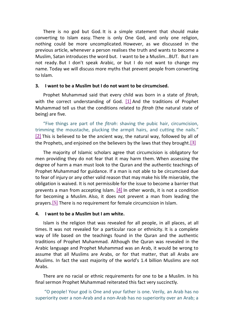There is no god but God. It is a simple statement that should make converting to Islam easy. There is only One God, and only one religion, nothing could be more uncomplicated. However, as we discussed in the previous article, whenever a person realises the truth and wants to become a Muslim, Satan introduces the word but. I want to be a Muslim...BUT. But I am not ready. But I don't speak Arabic, or but I do not want to change my name. Today we will discuss more myths that prevent people from converting to Islam.

## **3. I want to be a Muslim but I do not want to be circumcised.**

Prophet Muhammad said that every child was born in a state of *fitrah*, with the correct understanding of God.  $[1]$  And the traditions of Prophet Muhammad tell us that the conditions related to *fitrah* (the natural state of being) are five.

"Five things are part of the *fitrah*: shaving the pubic hair, circumcision, trimming the moustache, plucking the armpit hairs, and cutting the nails." [\[2\]](http://www.islamreligion.com/articles/4377/#_ftn23098) This is believed to be the ancient way, the natural way, followed by all of the Prophets, and enjoined on the believers by the laws that they brought[.\[3\]](http://www.islamreligion.com/articles/4377/#_ftn23099)

The majority of Islamic scholars agree that circumcision is obligatory for men providing they do not fear that it may harm them. When assessing the degree of harm a man must look to the Quran and the authentic teachings of Prophet Muhammad for guidance. If a man is not able to be circumcised due to fear of injury or any other valid reason that may make his life miserable, the obligation is waived. It is not permissible for the issue to become a barrier that prevents a man from accepting Islam. [4] In other words, it is not a condition for becoming a Muslim. Also, it does not prevent a man from leading the prayers.<sup>[5]</sup> There is no requirement for female circumcision in Islam.

#### **4. I want to be a Muslim but I am white.**

Islam is the religion that was revealed for all people, in all places, at all times. It was not revealed for a particular race or ethnicity. It is a complete way of life based on the teachings found in the Quran and the authentic traditions of Prophet Muhammad. Although the Quran was revealed in the Arabic language and Prophet Muhammad was an Arab, it would be wrong to assume that all Muslims are Arabs, or for that matter, that all Arabs are Muslims. In fact the vast majority of the world's 1.4 billion Muslims are not Arabs.

There are no racial or ethnic requirements for one to be a Muslim. In his final sermon Prophet Muhammad reiterated this fact very succinctly.

"O people! Your god is One and your father is one. Verily, an Arab has no superiority over a non-Arab and a non-Arab has no superiority over an Arab; a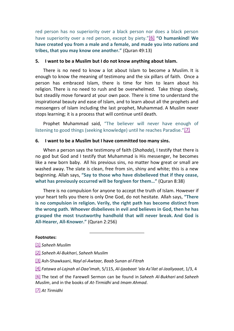red person has no superiority over a black person nor does a black person have superiority over a red person, except by piety."[\[6\]](http://www.islamreligion.com/articles/4377/#_ftn23102) **"O humankind! We have created you from a male and a female, and made you into nations and tribes, that you may know one another."** (Quran 49:13)

#### **5. I want to be a Muslim but I do not know anything about Islam.**

There is no need to know a lot about Islam to become a Muslim. It is enough to know the meaning of testimony and the six pillars of faith. Once a person has embraced Islam, there is time for him to learn about his religion. There is no need to rush and be overwhelmed. Take things slowly, but steadily move forward at your own pace. There is time to understand the inspirational beauty and ease of Islam, and to learn about all the prophets and messengers of Islam including the last prophet, Muhammad. A Muslim never stops learning; it is a process that will continue until death.

Prophet Muhammad said, "The believer will never have enough of listening to good things (seeking knowledge) until he reaches Paradise."[\[7\]](http://www.islamreligion.com/articles/4377/#_ftn23103)

#### **6. I want to be a Muslim but I have committed too many sins.**

When a person says the testimony of faith (*Shahada*), I testify that there is no god but God and I testify that Muhammad is His messenger, he becomes like a new born baby. All his previous sins, no matter how great or small are washed away. The slate is clean, free from sin, shiny and white; this is a new beginning. Allah says, **"Say to those who have disbelieved that if they cease, what has previously occurred will be forgiven for them…"** (Quran 8:38)

There is no compulsion for anyone to accept the truth of Islam. However if your heart tells you there is only One God, do not hesitate. Allah says, **"There is no compulsion in religion. Verily, the right path has become distinct from the wrong path. Whoever disbelieves in evil and believes in God, then he has grasped the most trustworthy handhold that will never break. And God is All-Hearer, All-Knower."** (Quran 2:256)

#### **Footnotes:**

- [\[1\]](http://www.islamreligion.com/articles/4377/#_ftnref23097) *Saheeh Muslim*
- [\[2\]](http://www.islamreligion.com/articles/4377/#_ftnref23098) *Saheeh Al-Bukhari*, *Saheeh Muslim*
- [\[3\]](http://www.islamreligion.com/articles/4377/#_ftnref23099) Ash-Shawkaani, *Nayl al-Awtaar, Baab Sunan al-Fitrah*
- [\[4\]](http://www.islamreligion.com/articles/4377/#_ftnref23100) *Fatawa al-Lajnah al-Daa'imah*, 5/115, *Al-Ijaabaat 'ala As'ilat al-Jaaliyaaat*, 1/3, 4

[\[6\]](http://www.islamreligion.com/articles/4377/#_ftnref23102) The text of the Farewell Sermon can be found in *Saheeh Al-Bukhari* and *Saheeh Muslim*, and in the books of *At-Tirmidhi* and *Imam Ahmad*.

[\[7\]](http://www.islamreligion.com/articles/4377/#_ftnref23103) *At Tirmidhi*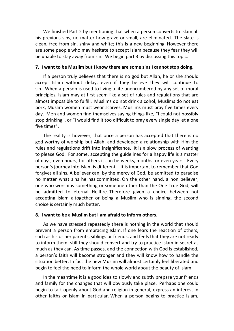We finished Part 2 by mentioning that when a person converts to Islam all his previous sins, no matter how grave or small, are eliminated. The slate is clean, free from sin, shiny and white; this is a new beginning. However there are some people who may hesitate to accept Islam because they fear they will be unable to stay away from sin. We begin part 3 by discussing this topic.

# **7. I want to be Muslim but I know there are some sins I cannot stop doing.**

If a person truly believes that there is no god but Allah, he or she should accept Islam without delay, even if they believe they will continue to sin. When a person is used to living a life unencumbered by any set of moral principles, Islam may at first seem like a set of rules and regulations that are almost impossible to fulfill. Muslims do not drink alcohol, Muslims do not eat pork, Muslim women must wear scarves, Muslims must pray five times every day. Men and women find themselves saying things like, "I could not possibly stop drinking", or "I would find it too difficult to pray every single day let alone five times".

The reality is however, that once a person has accepted that there is no god worthy of worship but Allah, and developed a relationship with Him the rules and regulations drift into insignificance. It is a slow process of wanting to please God. For some, accepting the guidelines for a happy life is a matter of days, even hours, for others it can be weeks, months, or even years. Every person's journey into Islam is different. It is important to remember that God forgives all sins. A believer can, by the mercy of God, be admitted to paradise no matter what sins he has committed. On the other hand, a non believer, one who worships something or someone other than the One True God, will be admitted to eternal Hellfire. Therefore given a choice between not accepting Islam altogether or being a Muslim who is sinning, the second choice is certainly much better.

# **8. I want to be a Muslim but I am afraid to inform others.**

As we have stressed repeatedly there is nothing in the world that should prevent a person from embracing Islam. If one fears the reaction of others, such as his or her parents, siblings or friends, and feels that they are not ready to inform them, still they should convert and try to practice Islam in secret as much as they can. As time passes, and the connection with God is established, a person's faith will become stronger and they will know how to handle the situation better. In fact the new Muslim will almost certainly feel liberated and begin to feel the need to inform the whole world about the beauty of Islam.

In the meantime it is a good idea to slowly and subtly prepare your friends and family for the changes that will obviously take place. Perhaps one could begin to talk openly about God and religion in general, express an interest in other faiths or Islam in particular. When a person begins to practice Islam,